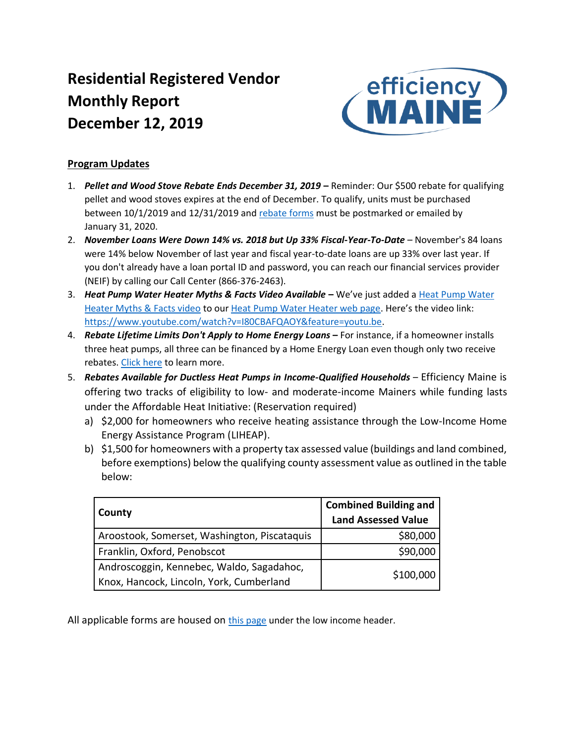# **Residential Registered Vendor Monthly Report December 12, 2019**



## **Program Updates**

- 1. *Pellet and Wood Stove Rebate Ends December 31, 2019* **–** Reminder: Our \$500 rebate for qualifying pellet and wood stoves expires at the end of December. To qualify, units must be purchased between 10/1/2019 and 12/31/2019 and [rebate forms](https://www.efficiencymaine.com/docs/EM-Pellet-and-Wood-Stove-Rebate.pdf#page=2) must be postmarked or emailed by January 31, 2020.
- 2. *November Loans Were Down 14% vs. 2018 but Up 33% Fiscal-Year-To-Date*  November's 84 loans were 14% below November of last year and fiscal year-to-date loans are up 33% over last year. If you don't already have a loan portal ID and password, you can reach our financial services provider (NEIF) by calling our Call Center (866-376-2463).
- 3. *Heat Pump Water Heater Myths & Facts Video Available* **–** We've just added a [Heat Pump Water](https://www.youtube.com/watch?v=I80CBAFQAOY&feature=youtu.be)  [Heater Myths & Facts video](https://www.youtube.com/watch?v=I80CBAFQAOY&feature=youtu.be) to our [Heat Pump Water Heater web page.](https://www.efficiencymaine.com/at-home/water-heating-solutions/heat-pump-water-heaters/) Here's the video link: [https://www.youtube.com/watch?v=I80CBAFQAOY&feature=youtu.be.](https://www.youtube.com/watch?v=I80CBAFQAOY&feature=youtu.be)
- 4. **Rebate Lifetime Limits Don't Apply to Home Energy Loans –** For instance, if a homeowner installs three heat pumps, all three can be financed by a Home Energy Loan even though only two receive rebates. [Click here](https://www.efficiencymaine.com/at-home/energy-loans/) to learn more.
- 5. Rebates Available for Ductless Heat Pumps in Income-Qualified Households Efficiency Maine is offering two tracks of eligibility to low- and moderate-income Mainers while funding lasts under the Affordable Heat Initiative: (Reservation required)
	- a) \$2,000 for homeowners who receive heating assistance through the Low-Income Home Energy Assistance Program (LIHEAP).
	- b) \$1,500 for homeowners with a property tax assessed value (buildings and land combined, before exemptions) below the qualifying county assessment value as outlined in the table below:

| County                                                                                | <b>Combined Building and</b><br><b>Land Assessed Value</b> |  |  |
|---------------------------------------------------------------------------------------|------------------------------------------------------------|--|--|
| Aroostook, Somerset, Washington, Piscataquis                                          | \$80,000                                                   |  |  |
| Franklin, Oxford, Penobscot                                                           | \$90,000                                                   |  |  |
| Androscoggin, Kennebec, Waldo, Sagadahoc,<br>Knox, Hancock, Lincoln, York, Cumberland | \$100,000                                                  |  |  |

All applicable forms are housed on [this page](https://www.efficiencymaine.com/at-home/residential-forms/) under the low income header.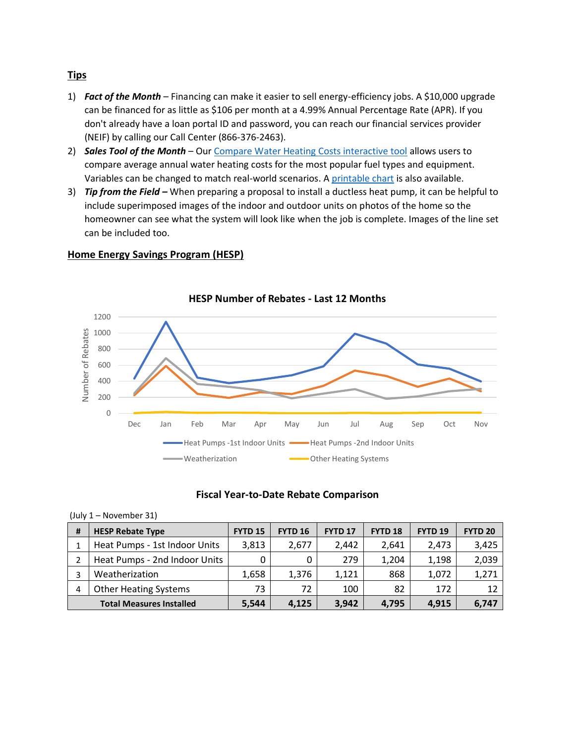#### **Tips**

- 1) *Fact of the Month* Financing can make it easier to sell energy-efficiency jobs. A \$10,000 upgrade can be financed for as little as \$106 per month at a 4.99% Annual Percentage Rate (APR). If you don't already have a loan portal ID and password, you can reach our financial services provider (NEIF) by calling our Call Center (866-376-2463).
- 2) *Sales Tool of the Month* Our [Compare Water Heating Costs interactive tool](https://www.efficiencymaine.com/at-home/water-heating-cost-comparison/) allows users to compare average annual water heating costs for the most popular fuel types and equipment. Variables can be changed to match real-world scenarios. A [printable chart](https://www.efficiencymaine.com/at-home/water-heating-cost-comparison/) is also available.
- 3) *Tip from the Field –* When preparing a proposal to install a ductless heat pump, it can be helpful to include superimposed images of the indoor and outdoor units on photos of the home so the homeowner can see what the system will look like when the job is complete. Images of the line set can be included too.

### **Home Energy Savings Program (HESP)**

(July 1 – November 31)



#### **Fiscal Year-to-Date Rebate Comparison**

| $1301V + 130V$                  |                               |                |                |                |                |                |                |  |
|---------------------------------|-------------------------------|----------------|----------------|----------------|----------------|----------------|----------------|--|
| #                               | <b>HESP Rebate Type</b>       | <b>FYTD 15</b> | <b>FYTD 16</b> | <b>FYTD 17</b> | <b>FYTD 18</b> | <b>FYTD 19</b> | <b>FYTD 20</b> |  |
|                                 | Heat Pumps - 1st Indoor Units | 3,813          | 2,677          | 2.442          | 2.641          | 2,473          | 3,425          |  |
|                                 | Heat Pumps - 2nd Indoor Units | 0              | 0              | 279            | 1,204          | 1,198          | 2,039          |  |
| 3                               | Weatherization                | 1,658          | 1,376          | 1,121          | 868            | 1,072          | 1,271          |  |
| 4                               | <b>Other Heating Systems</b>  | 73             | 72             | 100            | 82             | 172            | 12             |  |
| <b>Total Measures Installed</b> |                               | 5,544          | 4,125          | 3,942          | 4,795          | 4,915          | 6,747          |  |